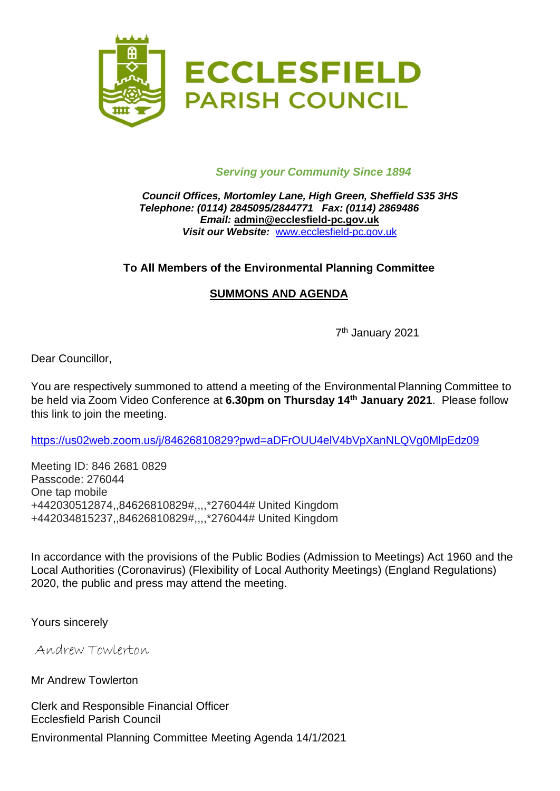

#### *Serving your Community Since 1894*

#### *Council Offices, Mortomley Lane, High Green, Sheffield S35 3HS Telephone: (0114) 2845095/2844771 Fax: (0114) 2869486 Email:* **admin@ecclesfield-pc.gov.uk** *Visit our Website:* [www.ecclesfield-pc.gov.uk](http://www.ecclesfield-pc.gov.uk/)

# **To All Members of the Environmental Planning Committee**

# **SUMMONS AND AGENDA**

7 th January 2021

Dear Councillor,

You are respectively summoned to attend a meeting of the Environmental Planning Committee to be held via Zoom Video Conference at **6.30pm on Thursday 14th January 2021**. Please follow this link to join the meeting.

<https://us02web.zoom.us/j/84626810829?pwd=aDFrOUU4elV4bVpXanNLQVg0MlpEdz09>

Meeting ID: 846 2681 0829 Passcode: 276044 One tap mobile +442030512874,,84626810829#,,,,\*276044# United Kingdom +442034815237,,84626810829#,,,,\*276044# United Kingdom

In accordance with the provisions of the Public Bodies (Admission to Meetings) Act 1960 and the Local Authorities (Coronavirus) (Flexibility of Local Authority Meetings) (England Regulations) 2020, the public and press may attend the meeting.

Yours sincerely

Andrew Towlerton

Mr Andrew Towlerton

Clerk and Responsible Financial Officer Ecclesfield Parish Council

Environmental Planning Committee Meeting Agenda 14/1/2021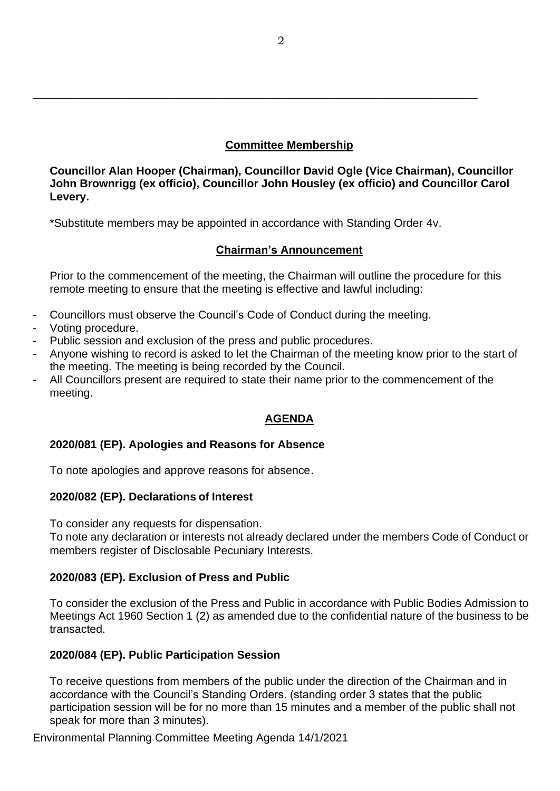# **Committee Membership**

**Councillor Alan Hooper (Chairman), Councillor David Ogle (Vice Chairman), Councillor John Brownrigg (ex officio), Councillor John Housley (ex officio) and Councillor Carol Levery.**

\*Substitute members may be appointed in accordance with Standing Order 4v.

\_\_\_\_\_\_\_\_\_\_\_\_\_\_\_\_\_\_\_\_\_\_\_\_\_\_\_\_\_\_\_\_\_\_\_\_\_\_\_\_\_\_\_\_\_\_\_\_\_\_\_\_\_\_\_\_\_\_\_\_\_\_\_\_\_\_\_\_\_\_\_

# **Chairman's Announcement**

Prior to the commencement of the meeting, the Chairman will outline the procedure for this remote meeting to ensure that the meeting is effective and lawful including:

- Councillors must observe the Council's Code of Conduct during the meeting.
- Voting procedure.
- Public session and exclusion of the press and public procedures.
- Anyone wishing to record is asked to let the Chairman of the meeting know prior to the start of the meeting. The meeting is being recorded by the Council.
- All Councillors present are required to state their name prior to the commencement of the meeting.

# **AGENDA**

# **2020/081 (EP). Apologies and Reasons for Absence**

To note apologies and approve reasons for absence.

# **2020/082 (EP). Declarations of Interest**

To consider any requests for dispensation.

To note any declaration or interests not already declared under the members Code of Conduct or members register of Disclosable Pecuniary Interests.

# **2020/083 (EP). Exclusion of Press and Public**

To consider the exclusion of the Press and Public in accordance with Public Bodies Admission to Meetings Act 1960 Section 1 (2) as amended due to the confidential nature of the business to be transacted.

# **2020/084 (EP). Public Participation Session**

To receive questions from members of the public under the direction of the Chairman and in accordance with the Council's Standing Orders. (standing order 3 states that the public participation session will be for no more than 15 minutes and a member of the public shall not speak for more than 3 minutes).

Environmental Planning Committee Meeting Agenda 14/1/2021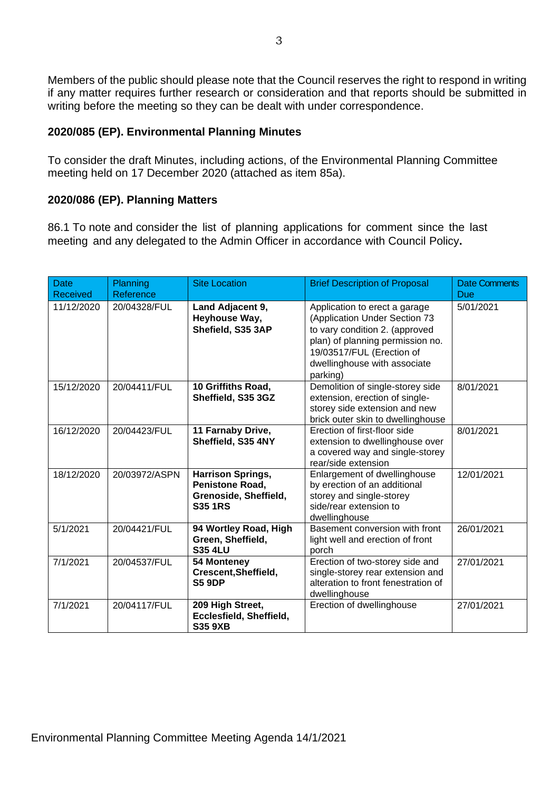Members of the public should please note that the Council reserves the right to respond in writing if any matter requires further research or consideration and that reports should be submitted in writing before the meeting so they can be dealt with under correspondence.

#### **2020/085 (EP). Environmental Planning Minutes**

To consider the draft Minutes, including actions, of the Environmental Planning Committee meeting held on 17 December 2020 (attached as item 85a).

#### **2020/086 (EP). Planning Matters**

86.1 To note and consider the list of planning applications for comment since the last meeting and any delegated to the Admin Officer in accordance with Council Policy**.**

| <b>Date</b><br>Received | Planning<br>Reference | <b>Site Location</b>                                                                          | <b>Brief Description of Proposal</b>                                                                                                                                                                          | <b>Date Comments</b><br>Due |
|-------------------------|-----------------------|-----------------------------------------------------------------------------------------------|---------------------------------------------------------------------------------------------------------------------------------------------------------------------------------------------------------------|-----------------------------|
| 11/12/2020              | 20/04328/FUL          | Land Adjacent 9,<br>Heyhouse Way,<br>Shefield, S35 3AP                                        | Application to erect a garage<br>(Application Under Section 73<br>to vary condition 2. (approved<br>plan) of planning permission no.<br>19/03517/FUL (Erection of<br>dwellinghouse with associate<br>parking) | 5/01/2021                   |
| 15/12/2020              | 20/04411/FUL          | 10 Griffiths Road,<br>Sheffield, S35 3GZ                                                      | Demolition of single-storey side<br>extension, erection of single-<br>storey side extension and new<br>brick outer skin to dwellinghouse                                                                      | 8/01/2021                   |
| 16/12/2020              | 20/04423/FUL          | 11 Farnaby Drive,<br>Sheffield, S35 4NY                                                       | Erection of first-floor side<br>extension to dwellinghouse over<br>a covered way and single-storey<br>rear/side extension                                                                                     | 8/01/2021                   |
| 18/12/2020              | 20/03972/ASPN         | <b>Harrison Springs,</b><br><b>Penistone Road,</b><br>Grenoside, Sheffield,<br><b>S35 1RS</b> | Enlargement of dwellinghouse<br>by erection of an additional<br>storey and single-storey<br>side/rear extension to<br>dwellinghouse                                                                           | 12/01/2021                  |
| 5/1/2021                | 20/04421/FUL          | 94 Wortley Road, High<br>Green, Sheffield,<br><b>S35 4LU</b>                                  | Basement conversion with front<br>light well and erection of front<br>porch                                                                                                                                   | 26/01/2021                  |
| 7/1/2021                | 20/04537/FUL          | 54 Monteney<br>Crescent, Sheffield,<br><b>S5 9DP</b>                                          | Erection of two-storey side and<br>single-storey rear extension and<br>alteration to front fenestration of<br>dwellinghouse                                                                                   | 27/01/2021                  |
| 7/1/2021                | 20/04117/FUL          | 209 High Street,<br>Ecclesfield, Sheffield,<br><b>S35 9XB</b>                                 | Erection of dwellinghouse                                                                                                                                                                                     | 27/01/2021                  |